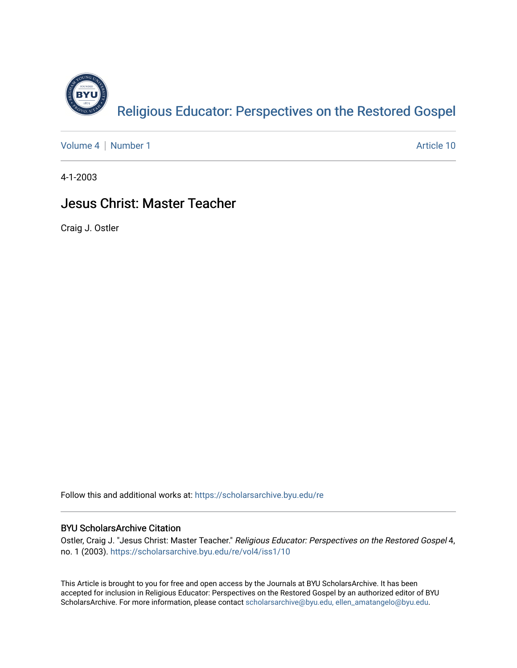

[Volume 4](https://scholarsarchive.byu.edu/re/vol4) | [Number 1](https://scholarsarchive.byu.edu/re/vol4/iss1) Article 10

4-1-2003

#### Jesus Christ: Master Teacher

Craig J. Ostler

Follow this and additional works at: [https://scholarsarchive.byu.edu/re](https://scholarsarchive.byu.edu/re?utm_source=scholarsarchive.byu.edu%2Fre%2Fvol4%2Fiss1%2F10&utm_medium=PDF&utm_campaign=PDFCoverPages)

#### BYU ScholarsArchive Citation

Ostler, Craig J. "Jesus Christ: Master Teacher." Religious Educator: Perspectives on the Restored Gospel 4, no. 1 (2003). [https://scholarsarchive.byu.edu/re/vol4/iss1/10](https://scholarsarchive.byu.edu/re/vol4/iss1/10?utm_source=scholarsarchive.byu.edu%2Fre%2Fvol4%2Fiss1%2F10&utm_medium=PDF&utm_campaign=PDFCoverPages) 

This Article is brought to you for free and open access by the Journals at BYU ScholarsArchive. It has been accepted for inclusion in Religious Educator: Perspectives on the Restored Gospel by an authorized editor of BYU ScholarsArchive. For more information, please contact [scholarsarchive@byu.edu, ellen\\_amatangelo@byu.edu.](mailto:scholarsarchive@byu.edu,%20ellen_amatangelo@byu.edu)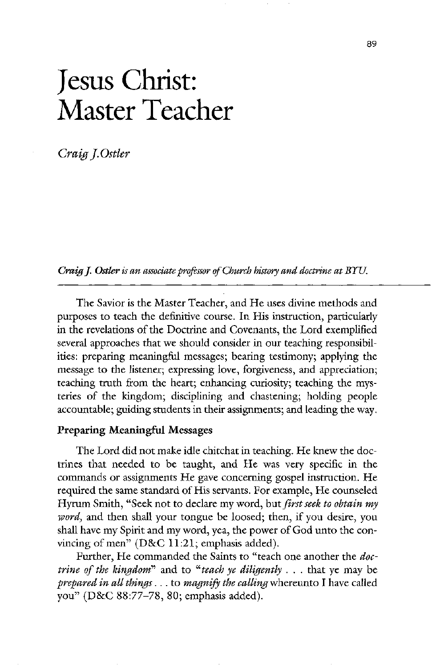# Jesus Christ: Master Teacher

Craig J.Ostler

Craig J. Ostler is an associate professor of Church history and doctrine at BYU.

The Savior is the Master Teacher, and He uses divine methods and purposes to teach the definitive course. In His instruction, particularly in the revelations of the Doctrine and Covenants, the Lord exemplified several approaches that we should consider in our teaching responsibilities: preparing meaningful messages; bearing testimony; applying the message to the listener; expressing love, forgiveness, and appreciation; teaching truth from the heart; enhancing curiosity; teaching the mysteries of the kingdom; disciplining and chastening; holding people accountable; guiding students in their assignments; and leading the way.

# Preparing Meaningful Messages

The Lord did not make idle chitchat in teaching. He knew the doctrines that needed to be taught, and He was very specific in the commands or assignments He gave concerning gospel instruction. He required the same standard of His servants. For example, He counseled Hyrum Smith, "Seek not to declare my word, but *first seek to obtain my* word, and then shall your tongue be loosed; then, if you desire, you shall have my Spirit and my word, yea, the power of God unto the convincing of men"  $(D&C 11:21;$  emphasis added).

Further, He commanded the Saints to "teach one another the *doctrine of the kingdom*<sup>n</sup> and to "*teach ye diligently*  $\ldots$  that ye may be prepared in all things  $\ldots$  to magnify the calling whereunto I have called you" ( $D&C 88:77-78$ , 80; emphasis added).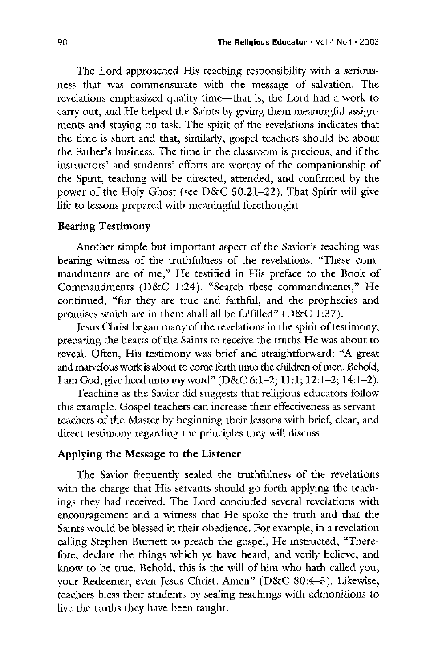The Lord approached His teaching responsibility with a seriousness that was commensurate with the message of salvation. The revelations emphasized quality time—that is, the Lord had a work to carry out, and He helped the Saints by giving them meaningful assignments and staying on task. The spirit of the revelations indicates that the time is short and that, similarly, gospel teachers should be about the Father's business. The time in the classroom is precious, and if the instructors' and students' efforts are worthy of the companionship of the Spirit, teaching will be directed, attended, and confirmed by the power of the Holy Ghost (see  $D&C 50:21-22$ ). That Spirit will give life to lessons prepared with meaningful forethought

# **Bearing Testimony**

Another simple but important aspect of the Savior's teaching was bearing witness of the truthfulness of the revelations. "These commandments are of me," He testified in His preface to the Book of Commandments  $(D&C 1:24)$ . "Search these commandments," He continued, "for they are true and faithful, and the prophecies and promises which are in them shall all be fulfilled"  $(D&C 1:37)$ .

Jesus Christ began many of the revelations in the spirit of testimony,

preparing the hearts of the Saints to receive the truths He was about to reveal. Often, His testimony was brief and straightforward: "A great and marvelous work is about to come forth unto the children of men. Behold, I am God; give heed unto my word" (D&C 6:1-2; 11:1; 12:1-2; 14:1-2).

Teaching as the Savior did suggests that religious educators follow this example. Gospel teachers can increase their effectiveness as servantteachers of the Master by beginning their lessons with brief, clear, and direct testimony regarding the principles they will discuss.

# Applying the Message to the Listener

The Savior frequently sealed the truthfulness of the revelations with the charge that His servants should go forth applying the teachings they had received. The Lord concluded several revelations with encouragement and a witness that He spoke the truth and that the Saints would be blessed in their obedience. For example, in a revelation calling Stephen Burnett to preach the gospel, He instructed, "Therefore, declare the things which ye have heard, and verily believe, and know to be true. Behold, this is the will of him who hath called you, your Redeemer, even Jesus Christ. Amen" (D&C 80:4-5). Likewise, teachers bless their students by sealing teachings with admonitions to live the truths they have been taught.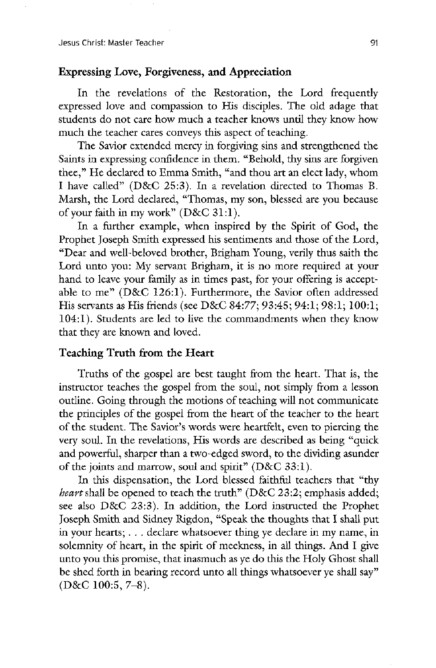# Expressing Love, Forgiveness, and Appreciation

In the revelations of the Restoration, the Lord frequently expressed love and compassion to His disciples. The old adage that students do not care how much a teacher knows until they know how much the teacher cares conveys this aspect of teaching.

The Savior extended mercy in forgiving sins and strengthened the Saints in expressing confidence in them. "Behold, thy sins are forgiven thee," He declared to Emma Smith, "and thou art an elect lady, whom I have called" ( $D&C$  25:3). In a revelation directed to Thomas B. Marsh, the Lord declared, "Thomas, my son, blessed are you because of your faith in my work"  $(D&C 31:1)$ .

In a further example, when inspired by the Spirit of God, the Prophet Joseph Smith expressed his sentiments and those of the Lord, "Dear and well-beloved brother, Brigham Young, verily thus saith the Lord unto you: My servant Brigham, it is no more required at your hand to leave your family as in times past, for your offering is acceptable to me" (D&C 126:1). Furthermore, the Savior often addressed His servants as His friends (see D&C 84:77;  $93:45; 94:1; 98:1; 100:1;$ 104:1). Students are led to live the commandments when they know

that they are known and loved

# Teaching Truth from the Heart

Truths of the gospel are best taught from the heart. That is, the instructor teaches the gospel from the soul, not simply from a lesson outline. Going through the motions of teaching will not communicate the principles of the gospel from the heart of the teacher to the heart of the student. The Savior's words were heartfelt, even to piercing the very soul. In the revelations, His words are described as being "quick and powerful, sharper than a two-edged sword, to the dividing asunder of the joints and marrow, soul and spirit"  $(D&C 33:1)$ .

In this dispensation, the Lord blessed faithful teachers that "thy *beart* shall be opened to teach the truth" ( $D&C$  23:2; emphasis added; see also  $D&C$  23:3). In addition, the Lord instructed the Prophet Joseph Smith and Sidney Rigdon, "Speak the thoughts that I shall put in your hearts;  $\ldots$  declare whatsoever thing ye declare in my name, in solemnity of heart, in the spirit of meekness, in all things. And I give unto you this promise, that inasmuch as ye do this the Holy Ghost shall be shed forth in bearing record unto all things whatsoever ye shall say"  $(D&C 100:5, 7-8).$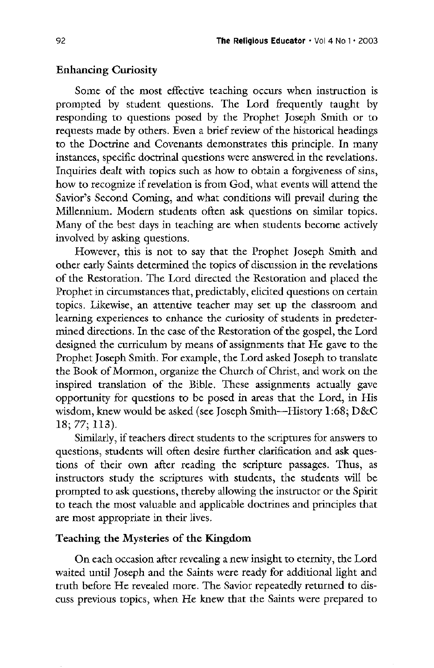## **Enhancing Curiosity**

some of the most effective teaching occurs when instruction is prompted by student questions. The Lord frequently taught by responding to questions posed by the Prophet Joseph Smith or to requests made by others. Even a brief review of the historical headings to the Doctrine and Covenants demonstrates this principle. In many instances, specific doctrinal questions were answered in the revelations. Inquiries dealt with topics such as how to obtain a forgiveness of sins, how to recognize if revelation is from God, what events will attend the Savior's Second Coming, and what conditions will prevail during the Millennium. Modern students often ask questions on similar topics. Many of the best days in teaching are when students become actively involved by asking questions

However, this is not to say that the Prophet Joseph Smith and other early saints determined the topics of discussion in the revelations of the Restoration. The Lord directed the Restoration and placed the Prophet in circumstances that, predictably, elicited questions on certain topics. Likewise, an attentive teacher may set up the classroom and learning experiences to enhance the curiosity of students in predetermined directions. In the case of the Restoration of the gospel, the Lord designed the curriculum by means of assignments that He gave to the Prophet Joseph Smith. For example, the Lord asked Joseph to translate the Book of Mormon, organize the Church of Christ, and work on the inspired translation of the Bible. These assignments actually gave opportunity for questions to be posed in areas that the Lord, in His wisdom, knew would be asked (see Joseph Smith—History  $1:68$ ;  $D&C$  $18; 77; 113.$ Similarly, if teachers direct students to the scriptures for answers to questions, students will often desire further clarification and ask questions of their own after reading the scripture passages. Thus, as instructors study the scriptures with students, the students will be prompted to ask questions, thereby allowing the instructor or the Spirit to teach the most valuable and applicable doctrines and principles that are most appropriate in their lives

# Teaching the Mysteries of the Kingdom

On each occasion after revealing a new insight to eternity, the Lord waited until joseph and the saints were ready for additional light and truth before He revealed more. The Savior repeatedly returned to discuss previous topics, when He knew that the Saints were prepared to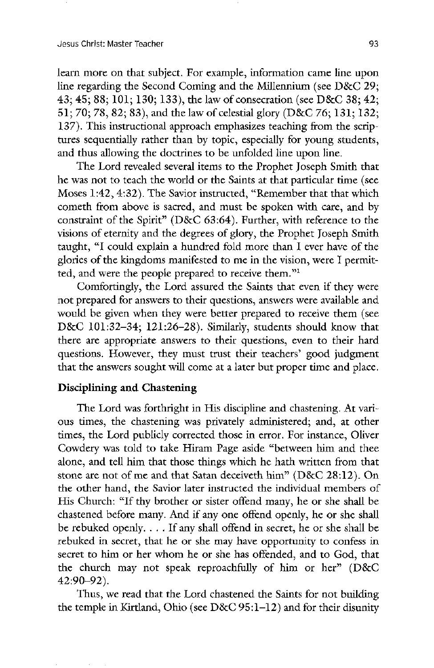learn more on that subject. For example, information came line upon line regarding the Second Coming and the Millennium (see  $D&C$  29; 43; 45; 88; 101; 130; 133), the law of consecration (see D&C 38; 42; 51; 70; 78, 82; 83), and the law of celestial glory (D&C 76; 131; 132; 137). This instructional approach emphasizes teaching from the scriptures sequentially rather than by topic, especially for young students, and thus allowing the doctrines to be unfolded line upon line.

The Lord revealed several items to the Prophet Joseph Smith that he was not to teach the world or the Saints at that particular time (see Moses 1:42, 4:32). The Savior instructed, "Remember that that which cometh from above is sacred, and must be spoken with care, and by constraint of the Spirit" ( $D&C$  63:64). Further, with reference to the visions of eternity and the degrees of glory, the Prophet Joseph Smith taught, "I could explain a hundred fold more than I ever have of the glories of the kingdoms manifested to me in the vision, were I permitted, and were the people prepared to receive them."<sup>1</sup>

Comfortingly, the Lord assured the Saints that even if they were not prepared for answers to their questions, answers were available and would be given when they were better prepared to receive them (see D&C 101:32-34;  $121:26-28$ ). Similarly, students should know that there are appropriate answers to their questions, even to their hard questions. However, they must trust their teachers' good judgment that the answers sought will come at a later but proper time and place.

# Disciplining and Chastening

The Lord was forthright in His discipline and chastening. At various times, the chastening was privately administered; and, at other times, the Lord publicly corrected those in error. For instance, Oliver Cowdery was told to take Hiram Page aside "between him and thee alone, and tell him that those things which he hath written from that stone are not of me and that Satan deceiveth  $\text{him}$ " (D&C 28:12). On the other hand, the Savior later instructed the individual members of His Church: "If thy brother or sister offend many, he or she shall be chastened before many. And if any one offend openly, he or she shall be rebuked openly.  $\ldots$  If any shall offend in secret, he or she shall be rebuked in secret, that he or she may have opportunity to confess in secret to him or her whom he or she has offended, and to God, that the church may not speak reproachfully of him or her"  $(D&C)$  $42:90 - 92$ ).

Thus, we read that the Lord chastened the Saints for not building the temple in Kirtland, Ohio (see  $D&C 95:1-12$ ) and for their disunity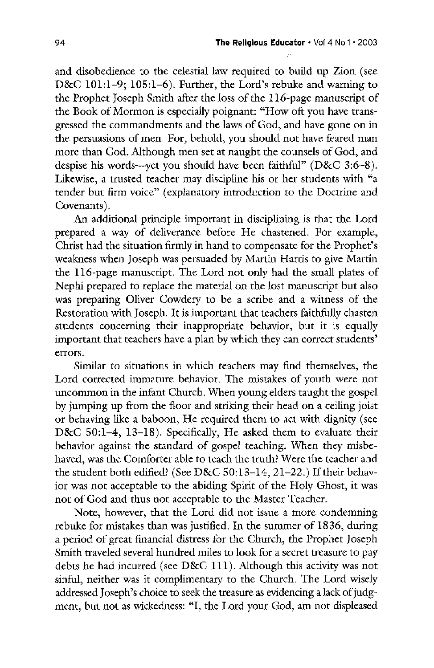and disobedience to the celestial law required to build up Zion (see D&C  $101:1-9$ ;  $105:1-6$ ). Further, the Lord's rebuke and warning to the Prophet Joseph Smith after the loss of the 116-page manuscript of the Book of Mormon is especially poignant: "How oft you have transgressed the commandments and the laws of God, and have gone on in the persuasions of men. For, behold, you should not have feared man more than God. Although men set at naught the counsels of God, and despise his words—yet you should have been faithful"  $(D&C 3:6-8)$ . Likewise, a trusted teacher may discipline his or her students with "a tender but firm voice" (explanatory introduction to the Doctrine and Covenants).

an additional principle important in disciplining is that the lord prepared a way of deliverance before He chastened. For example, Christ had the situation firmly in hand to compensate for the Prophet's weakness when Joseph was persuaded by Martin Harris to give Martin the 116-page manuscript. The Lord not only had the small plates of Nephi prepared to replace the material on the lost manuscript but also was preparing Oliver Cowdery to be a scribe and a witness of the Restoration with Joseph. It is important that teachers faithfully chasten students concerning their inappropriate behavior, but it is equally important that teachers have a plan by which they can correct students errors Similar to situations in which teachers may find themselves, the Lord corrected immature behavior. The mistakes of youth were not uncommon in the infant Church. When young elders taught the gospel by jumping up from the floor and striking their head on a ceiling joist or behaving like a baboon, He required them to act with dignity (see D&C 50:1-4, 13-18). Specifically, He asked them to evaluate their behavior against the standard of gospel teaching. When they misbehaved, was the Comforter able to teach the truth? Were the teacher and the student both edified? (See D&C  $50:13-14$ ,  $21-22$ .) If their behavior was not acceptable to the abiding Spirit of the Holy Ghost, it was not of God and thus not acceptable to the Master Teacher. Note, however, that the Lord did not issue a more condemning rebuke for mistakes than was justified. In the summer of 1836, during a period of great financial distress for the Church, the Prophet Joseph smith traveled several hundred miles to look for a secret treasure to pay debts he had incurred (see  $D&C$  111). Although this activity was not sinful, neither was it complimentary to the Church. The Lord wisely addressed Joseph's choice to seek the treasure as evidencing a lack of judgment, but not as wickedness: "I, the Lord your God, am not displeased

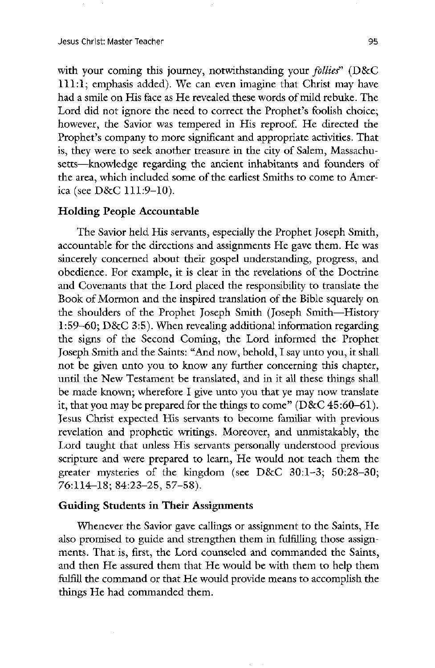Jesus Christ: Master Teacher 1959 (1999) 1998 (1999) 1998 (1999) 1998 (1999) 1998 (1999) 1998 (1999) 1998 (199

with your coming this journey, notwithstanding your *follies*" ( $D&C$  $111:1$ ; emphasis added). We can even imagine that Christ may have had a smile on His face as He revealed these words of mild rebuke. The Lord did not ignore the need to correct the Prophet's foolish choice; however, the Savior was tempered in His reproof. He directed the Prophet's company to more significant and appropriate activities. That is, they were to seek another treasure in the city of Salem, Massachusetts—knowledge regarding the ancient inhabitants and founders of the area, which included some of the earliest Smiths to come to America (see  $D&C$  111:9-10).

## Holding People Accountable

The Savior held His servants, especially the Prophet Joseph Smith, accountable for the directions and assignments He gave them. He was sincerely concerned about their gospel understanding, progress, and obedience. For example, it is clear in the revelations of the Doctrine and covenants that the lord placed the responsibility to translate the Book of Mormon and the inspired translation of the Bible squarely on the shoulders of the Prophet Joseph Smith (Joseph Smith—History 1:59–60;  $D&C$  3:5). When revealing additional information regarding the signs of the Second Coming, the Lord informed the Prophet Joseph Smith and the Saints: "And now, behold, I say unto you, it shall not be given unto you to know any further concerning this chapter until the New Testament be translated, and in it all these things shall be made known; wherefore I give unto you that ye may now translate it, that you may be prepared for the things to come" ( $D&C$  45:60–61). jesus christ expected his servants to become familiar with previous revelation and prophetic writings. Moreover, and unmistakably, the Lord taught that unless His servants personally understood previous scripture and were prepared to learn, He would not teach them the greater mysteries of the kingdom (see  $D&C$  30:1-3; 50:28-30;  $76:114 - 18$ ;  $84:23 - 25$ ,  $57 - 58$ ).

# Guiding Students in Their Assignments

Whenever the Savior gave callings or assignment to the Saints, He also promised to guide and strengthen them in fulfilling those assignments. That is, first, the Lord counseled and commanded the Saints, and then He assured them that He would be with them to help them fulfill the command or that He would provide means to accomplish the things He had commanded them.